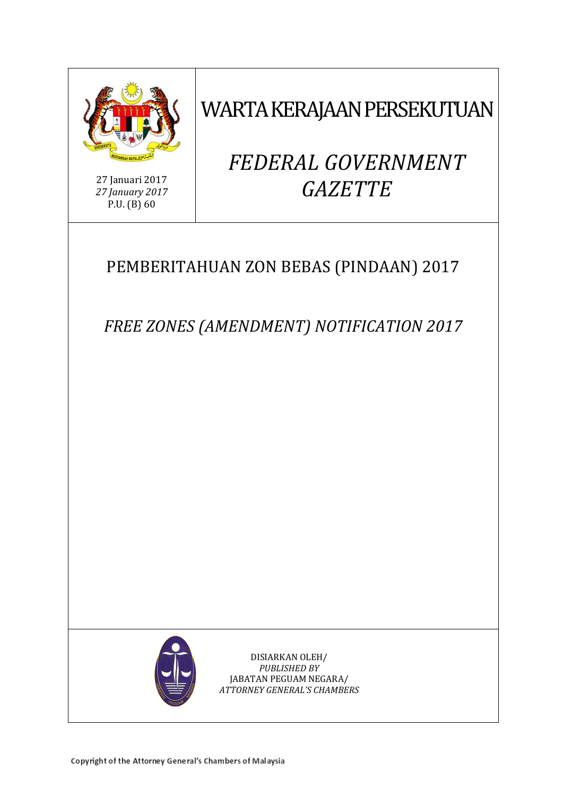

WARTA KERAJAAN PERSEKUTUAN

27 Januari 2017 *27 January 2017* P.U. (B) 60

# *FEDERAL GOVERNMENT GAZETTE*

# PEMBERITAHUAN ZON BEBAS (PINDAAN) 2017

*FREE ZONES (AMENDMENT) NOTIFICATION 2017*



DISIARKAN OLEH/ *PUBLISHED BY* JABATAN PEGUAM NEGARA/ *ATTORNEY GENERAL'S CHAMBERS*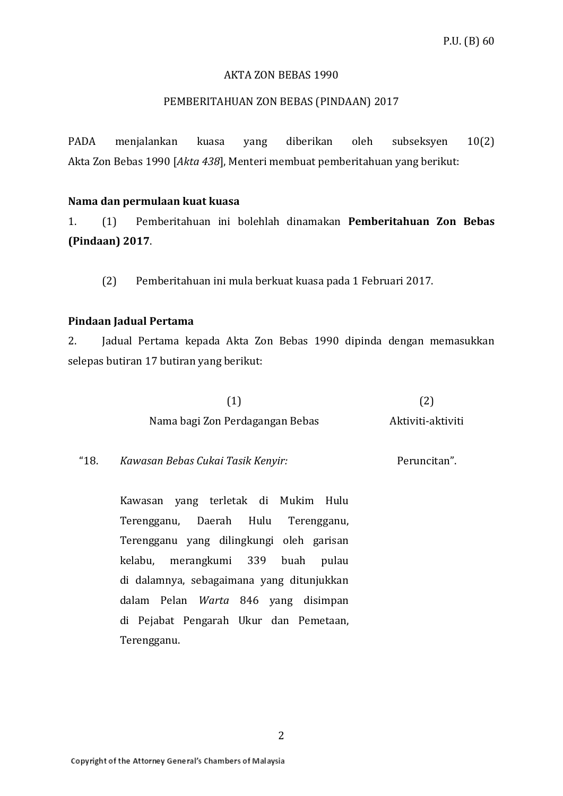#### AKTA ZON BEBAS 1990

# PEMBERITAHUAN ZON BEBAS (PINDAAN) 2017

PADA menjalankan kuasa yang diberikan oleh subseksyen 10(2) Akta Zon Bebas 1990 [*Akta 438*], Menteri membuat pemberitahuan yang berikut:

#### **Nama dan permulaan kuat kuasa**

1. (1) Pemberitahuan ini bolehlah dinamakan **Pemberitahuan Zon Bebas (Pindaan) 2017**.

(2) Pemberitahuan ini mula berkuat kuasa pada 1 Februari 2017.

#### **Pindaan Jadual Pertama**

2. Jadual Pertama kepada Akta Zon Bebas 1990 dipinda dengan memasukkan selepas butiran 17 butiran yang berikut:

| (1)                             | (2)               |
|---------------------------------|-------------------|
| Nama bagi Zon Perdagangan Bebas | Aktiviti-aktiviti |

"18. *Kawasan Bebas Cukai Tasik Kenyir:* Peruncitan".

> Kawasan yang terletak di Mukim Hulu Terengganu, Daerah Hulu Terengganu, Terengganu yang dilingkungi oleh garisan kelabu, merangkumi 339 buah pulau di dalamnya, sebagaimana yang ditunjukkan dalam Pelan *Warta* 846 yang disimpan di Pejabat Pengarah Ukur dan Pemetaan, Terengganu.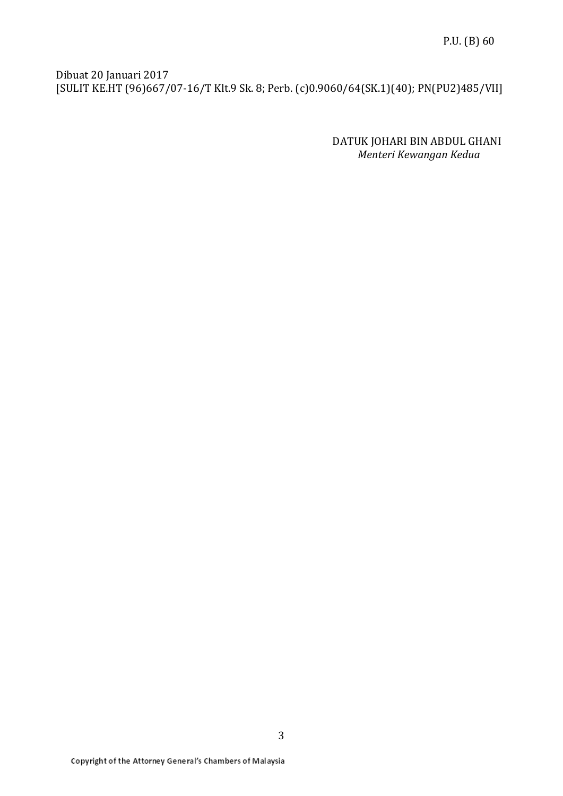Dibuat 20 Januari 2017 [SULIT KE.HT (96)667/07-16/T Klt.9 Sk. 8; Perb. (c)0.9060/64(SK.1)(40); PN(PU2)485/VII]

> DATUK JOHARI BIN ABDUL GHANI *Menteri Kewangan Kedua*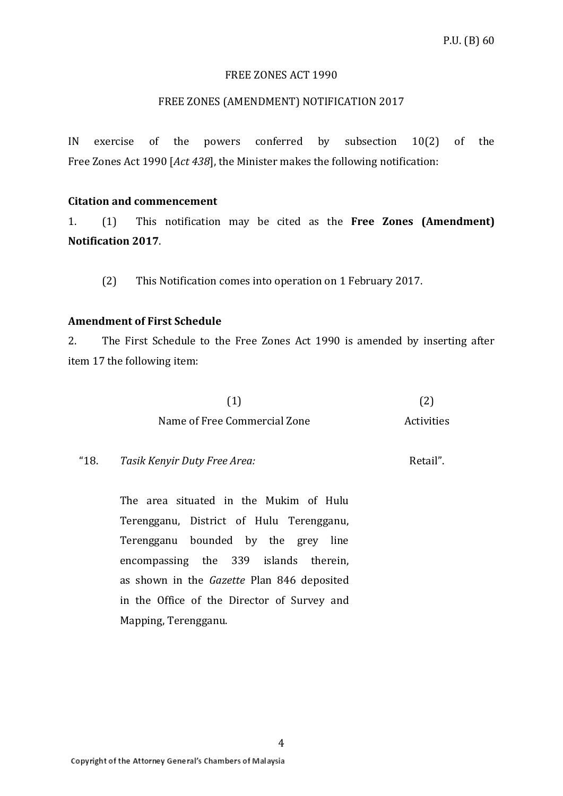#### FREE ZONES ACT 1990

# FREE ZONES (AMENDMENT) NOTIFICATION 2017

IN exercise of the powers conferred by subsection 10(2) of the Free Zones Act 1990 [*Act 438*], the Minister makes the following notification:

#### **Citation and commencement**

1. (1) This notification may be cited as the **Free Zones (Amendment) Notification 2017**.

(2) This Notification comes into operation on 1 February 2017.

# **Amendment of First Schedule**

2. The First Schedule to the Free Zones Act 1990 is amended by inserting after item 17 the following item:

| (1)                          | (2)        |
|------------------------------|------------|
| Name of Free Commercial Zone | Activities |

"18. *Tasik Kenyir Duty Free Area:* Retail".

> The area situated in the Mukim of Hulu Terengganu, District of Hulu Terengganu, Terengganu bounded by the grey line encompassing the 339 islands therein, as shown in the *Gazette* Plan 846 deposited in the Office of the Director of Survey and Mapping, Terengganu.